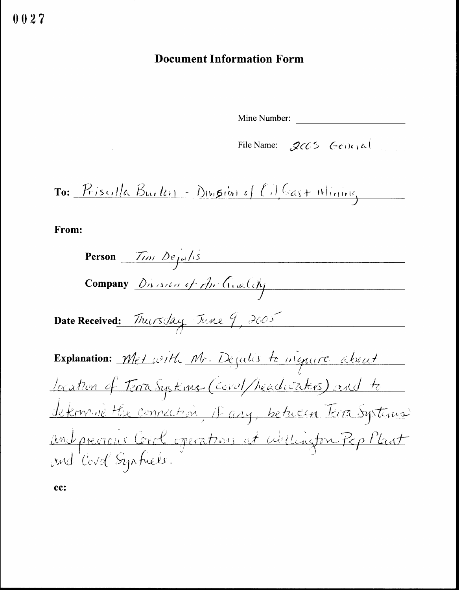## **Document Information Form**

Mine Number:

File Name: 2005 General

To: Priscilla Burton - Division of Cil Cast Mining

From:

 $\sim 10$ 

| Person $\overline{f_{(n)}} \frac{\partial e_{\mu}(1)}{\partial \overline{\sigma}}$ |
|------------------------------------------------------------------------------------|
| Company Division of Archivalchy                                                    |
| Date Received: Thursday June 9, 2005                                               |
| Explanation: Met with Mr. Dejulis to inquire about                                 |
| Jocation of Terra Systems (cevel/headwaters) and to                                |
| <u>determine the connection, it any, between Terra Systems</u>                     |
| and previous Corol operations at willington Pop Plant                              |

cc: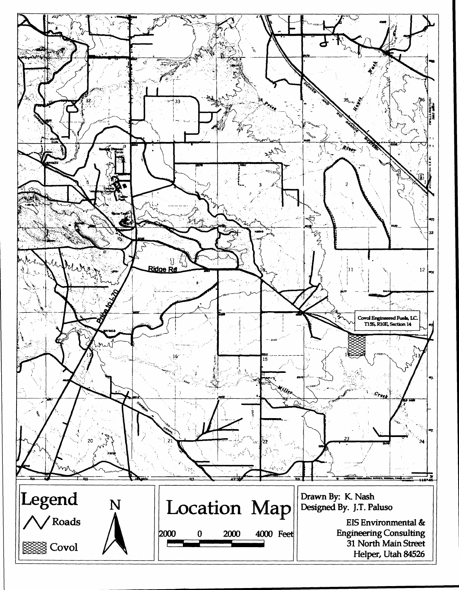